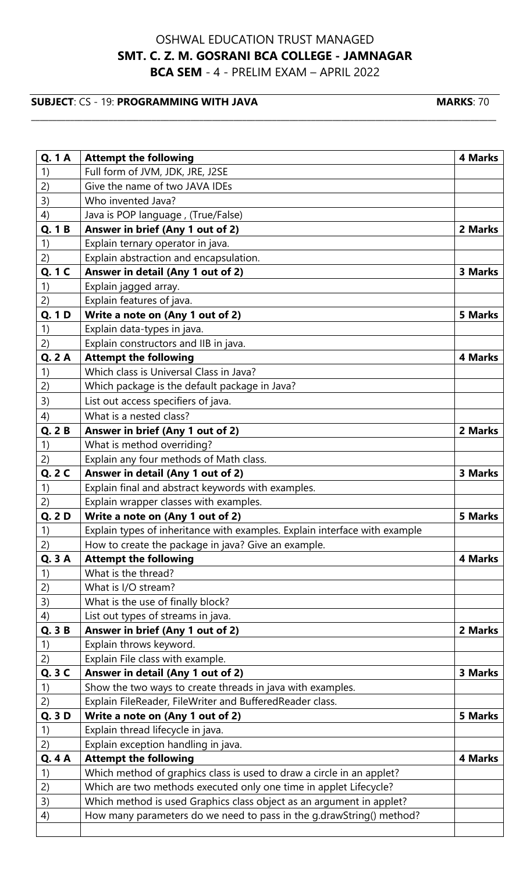## OSHWAL EDUCATION TRUST MANAGED **SMT. C. Z. M. GOSRANI BCA COLLEGE - JAMNAGAR BCA SEM** - 4 - PRELIM EXAM – APRIL 2022

\_\_\_\_\_\_\_\_\_\_\_\_\_\_\_\_\_\_\_\_\_\_\_\_\_\_\_\_\_\_\_\_\_\_\_\_\_\_\_\_\_\_\_\_\_\_\_\_\_\_\_\_\_\_\_\_\_\_\_\_\_\_\_\_\_\_\_\_\_\_\_\_\_\_\_\_\_\_\_\_\_\_\_\_\_\_\_\_\_\_\_\_\_\_\_\_\_\_\_\_\_\_\_\_\_\_\_\_

## **SUBJECT**: CS - 19: **PROGRAMMING WITH JAVA MARKS**: 70

| <b>Q.1A</b>   |                                                                            | <b>4 Marks</b> |
|---------------|----------------------------------------------------------------------------|----------------|
|               | <b>Attempt the following</b>                                               |                |
| 1)            | Full form of JVM, JDK, JRE, J2SE<br>Give the name of two JAVA IDEs         |                |
| 2)            |                                                                            |                |
| 3)            | Who invented Java?                                                         |                |
| 4)            | Java is POP language, (True/False)                                         |                |
| Q. 1 B        | Answer in brief (Any 1 out of 2)                                           | 2 Marks        |
| 1)            | Explain ternary operator in java.                                          |                |
| 2)            | Explain abstraction and encapsulation.                                     |                |
| Q. 1 C        | Answer in detail (Any 1 out of 2)                                          | 3 Marks        |
| 1)            | Explain jagged array.                                                      |                |
| 2)            | Explain features of java.                                                  |                |
| Q. 1 D        | Write a note on (Any 1 out of 2)                                           | 5 Marks        |
| 1)            | Explain data-types in java.                                                |                |
| 2)            | Explain constructors and IIB in java.                                      |                |
| Q.2A          | <b>Attempt the following</b>                                               | <b>4 Marks</b> |
| 1)            | Which class is Universal Class in Java?                                    |                |
| 2)            | Which package is the default package in Java?                              |                |
| 3)            | List out access specifiers of java.                                        |                |
| 4)            | What is a nested class?                                                    |                |
| Q.2B          | Answer in brief (Any 1 out of 2)                                           | 2 Marks        |
| 1)            | What is method overriding?                                                 |                |
| 2)            | Explain any four methods of Math class.                                    |                |
| Q. 2 C        | Answer in detail (Any 1 out of 2)                                          | 3 Marks        |
| 1)            | Explain final and abstract keywords with examples.                         |                |
| 2)            | Explain wrapper classes with examples.                                     |                |
| Q. 2 D        | Write a note on (Any 1 out of 2)                                           | 5 Marks        |
| 1)            | Explain types of inheritance with examples. Explain interface with example |                |
| 2)            | How to create the package in java? Give an example.                        |                |
| Q. 3 A        | <b>Attempt the following</b>                                               | 4 Marks        |
| 1)            | What is the thread?                                                        |                |
| 2)            | What is I/O stream?                                                        |                |
| 3)            | What is the use of finally block?                                          |                |
| 4)            | List out types of streams in java.                                         |                |
| Q. 3 B        | Answer in brief (Any 1 out of 2)                                           | 2 Marks        |
| 1)            | Explain throws keyword.                                                    |                |
| 2)            | Explain File class with example.                                           |                |
| Q. 3 C        | Answer in detail (Any 1 out of 2)                                          | 3 Marks        |
| 1)            | Show the two ways to create threads in java with examples.                 |                |
| 2)            | Explain FileReader, FileWriter and BufferedReader class.                   |                |
| Q. 3 D        | Write a note on (Any 1 out of 2)                                           | <b>5 Marks</b> |
| 1)            | Explain thread lifecycle in java.                                          |                |
| 2)            | Explain exception handling in java.                                        |                |
| <b>Q. 4 A</b> | <b>Attempt the following</b>                                               | <b>4 Marks</b> |
| 1)            | Which method of graphics class is used to draw a circle in an applet?      |                |
| 2)            | Which are two methods executed only one time in applet Lifecycle?          |                |
| 3)            | Which method is used Graphics class object as an argument in applet?       |                |
| 4)            | How many parameters do we need to pass in the g.drawString() method?       |                |
|               |                                                                            |                |